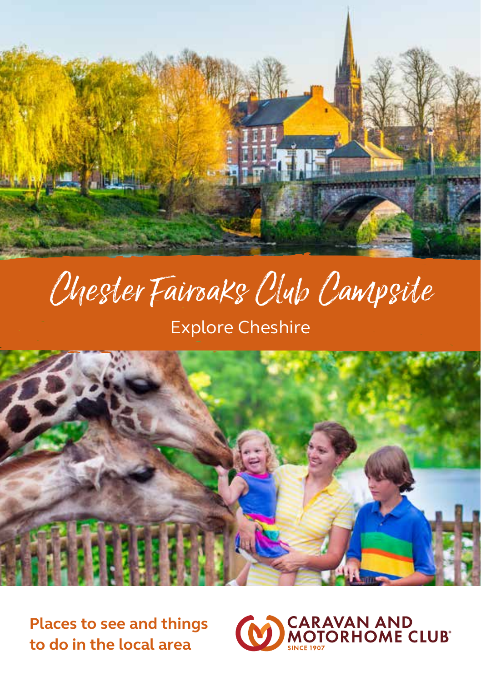

# Chester Fairoaks Club Campsite

# Explore Cheshire



**Places to see and things to do in the local area**

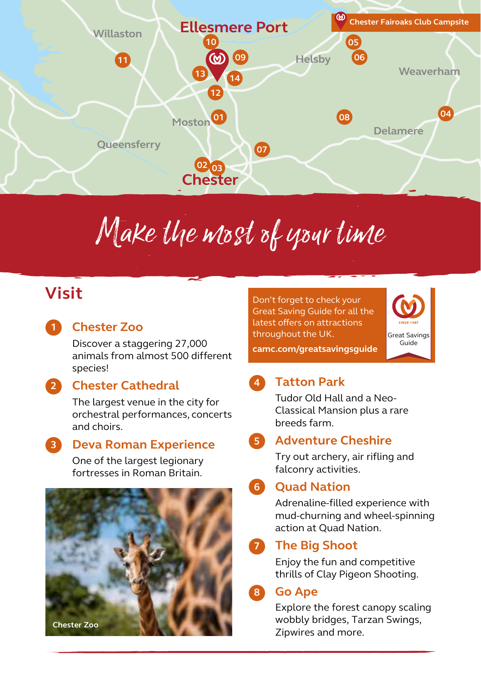

# Make the most of your time

## **Visit**

**1**

### **Chester Zoo**

Discover a staggering 27,000 animals from almost 500 different species!

#### **Chester Cathedral 2**

The largest venue in the city for orchestral performances, concerts and choirs.

#### **Deva Roman Experience 3**

One of the largest legionary fortresses in Roman Britain.



Don't forget to check your Great Saving Guide for all the latest offers on attractions throughout the UK. **camc.com/greatsavingsguide**



#### **Tatton Park 4**

Tudor Old Hall and a Neo-Classical Mansion plus a rare breeds farm.

#### **Adventure Cheshire 5**

Try out archery, air rifling and falconry activities.

#### **Quad Nation 6**

Adrenaline-filled experience with mud-churning and wheel-spinning action at Quad Nation.

#### **The Big Shoot 7**

Enjoy the fun and competitive thrills of Clay Pigeon Shooting.

#### **Go Ape 8**

Explore the forest canopy scaling wobbly bridges, Tarzan Swings, Zipwires and more.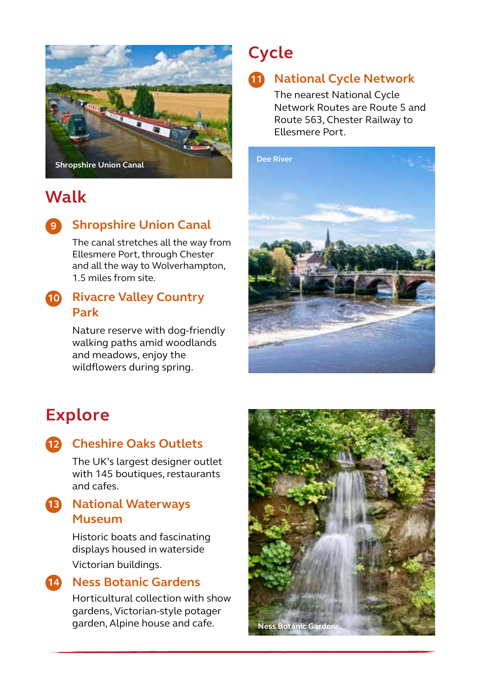

## **Walk**

**9**

## **Shropshire Union Canal**

The canal stretches all the way from Ellesmere Port, through Chester and all the way to Wolverhampton, 1.5 miles from site.

## **Rivacre Valley Country 10 Park**

Nature reserve with dog-friendly walking paths amid woodlands and meadows, enjoy the wildflowers during spring.

# **Cycle**

## **National Cycle Network 11**

The nearest National Cycle Network Routes are Route 5 and Route 563, Chester Railway to Ellesmere Port.



# **Explore**

## **Cheshire Oaks Outlets 12**

The UK's largest designer outlet with 145 boutiques, restaurants and cafes.

### **National Waterways 13 Museum**

Historic boats and fascinating displays housed in waterside Victorian buildings.



## **Ness Botanic Gardens 14**

Horticultural collection with show gardens, Victorian-style potager garden, Alpine house and cafe. **Ness Botanic Gard**